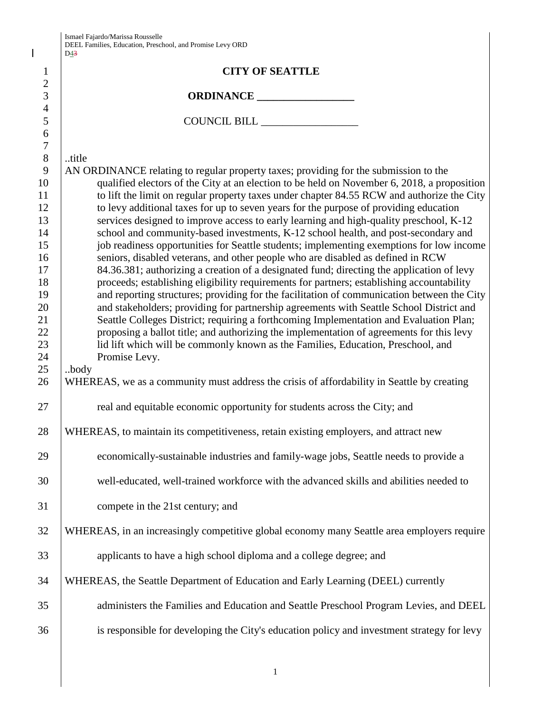| Ismael Fajardo/Marissa Rousselle                          |
|-----------------------------------------------------------|
| DEEL Families, Education, Preschool, and Promise Levy ORD |
| $\Gamma$ 12                                               |

|                            | DEEL Families, Education, Preschool, and Promise Levy ORD<br>D43                                                                                                                      |
|----------------------------|---------------------------------------------------------------------------------------------------------------------------------------------------------------------------------------|
| $\mathbf{1}$<br>$\sqrt{2}$ | <b>CITY OF SEATTLE</b>                                                                                                                                                                |
| 3                          | ORDINANCE                                                                                                                                                                             |
| $\overline{4}$<br>5        |                                                                                                                                                                                       |
| 6<br>$\boldsymbol{7}$      |                                                                                                                                                                                       |
| $8\,$<br>9                 | title                                                                                                                                                                                 |
| 10                         | AN ORDINANCE relating to regular property taxes; providing for the submission to the<br>qualified electors of the City at an election to be held on November 6, 2018, a proposition   |
| 11<br>12                   | to lift the limit on regular property taxes under chapter 84.55 RCW and authorize the City<br>to levy additional taxes for up to seven years for the purpose of providing education   |
| 13<br>14                   | services designed to improve access to early learning and high-quality preschool, K-12<br>school and community-based investments, K-12 school health, and post-secondary and          |
| 15                         | job readiness opportunities for Seattle students; implementing exemptions for low income                                                                                              |
| 16<br>17                   | seniors, disabled veterans, and other people who are disabled as defined in RCW<br>84.36.381; authorizing a creation of a designated fund; directing the application of levy          |
| 18                         | proceeds; establishing eligibility requirements for partners; establishing accountability                                                                                             |
| 19<br>20                   | and reporting structures; providing for the facilitation of communication between the City<br>and stakeholders; providing for partnership agreements with Seattle School District and |
| 21<br>22                   | Seattle Colleges District; requiring a forthcoming Implementation and Evaluation Plan;<br>proposing a ballot title; and authorizing the implementation of agreements for this levy    |
| 23                         | lid lift which will be commonly known as the Families, Education, Preschool, and                                                                                                      |
| 24<br>25                   | Promise Levy.<br>.body                                                                                                                                                                |
| 26                         | WHEREAS, we as a community must address the crisis of affordability in Seattle by creating                                                                                            |
| 27                         | real and equitable economic opportunity for students across the City; and                                                                                                             |
| 28                         | WHEREAS, to maintain its competitiveness, retain existing employers, and attract new                                                                                                  |
| 29                         | economically-sustainable industries and family-wage jobs, Seattle needs to provide a                                                                                                  |
| 30                         | well-educated, well-trained workforce with the advanced skills and abilities needed to                                                                                                |
| 31                         | compete in the 21st century; and                                                                                                                                                      |
| 32                         | WHEREAS, in an increasingly competitive global economy many Seattle area employers require                                                                                            |
| 33                         | applicants to have a high school diploma and a college degree; and                                                                                                                    |
| 34                         | WHEREAS, the Seattle Department of Education and Early Learning (DEEL) currently                                                                                                      |
| 35                         | administers the Families and Education and Seattle Preschool Program Levies, and DEEL                                                                                                 |
| 36                         | is responsible for developing the City's education policy and investment strategy for levy                                                                                            |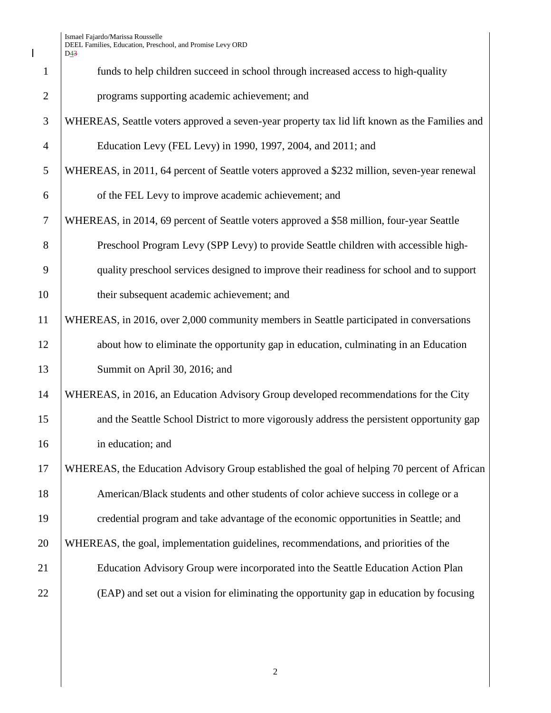$\mathbf I$ 

|                | D43                                                                                           |
|----------------|-----------------------------------------------------------------------------------------------|
| $\mathbf{1}$   | funds to help children succeed in school through increased access to high-quality             |
| $\overline{2}$ | programs supporting academic achievement; and                                                 |
| 3              | WHEREAS, Seattle voters approved a seven-year property tax lid lift known as the Families and |
| $\overline{4}$ | Education Levy (FEL Levy) in 1990, 1997, 2004, and 2011; and                                  |
| 5              | WHEREAS, in 2011, 64 percent of Seattle voters approved a \$232 million, seven-year renewal   |
| 6              | of the FEL Levy to improve academic achievement; and                                          |
| 7              | WHEREAS, in 2014, 69 percent of Seattle voters approved a \$58 million, four-year Seattle     |
| 8              | Preschool Program Levy (SPP Levy) to provide Seattle children with accessible high-           |
| 9              | quality preschool services designed to improve their readiness for school and to support      |
| 10             | their subsequent academic achievement; and                                                    |
| 11             | WHEREAS, in 2016, over 2,000 community members in Seattle participated in conversations       |
| 12             | about how to eliminate the opportunity gap in education, culminating in an Education          |
| 13             | Summit on April 30, 2016; and                                                                 |
| 14             | WHEREAS, in 2016, an Education Advisory Group developed recommendations for the City          |
| 15             | and the Seattle School District to more vigorously address the persistent opportunity gap     |
| 16             | in education; and                                                                             |
| 17             | WHEREAS, the Education Advisory Group established the goal of helping 70 percent of African   |
| 18             | American/Black students and other students of color achieve success in college or a           |
| 19             | credential program and take advantage of the economic opportunities in Seattle; and           |
| 20             | WHEREAS, the goal, implementation guidelines, recommendations, and priorities of the          |
| 21             | Education Advisory Group were incorporated into the Seattle Education Action Plan             |
| 22             | (EAP) and set out a vision for eliminating the opportunity gap in education by focusing       |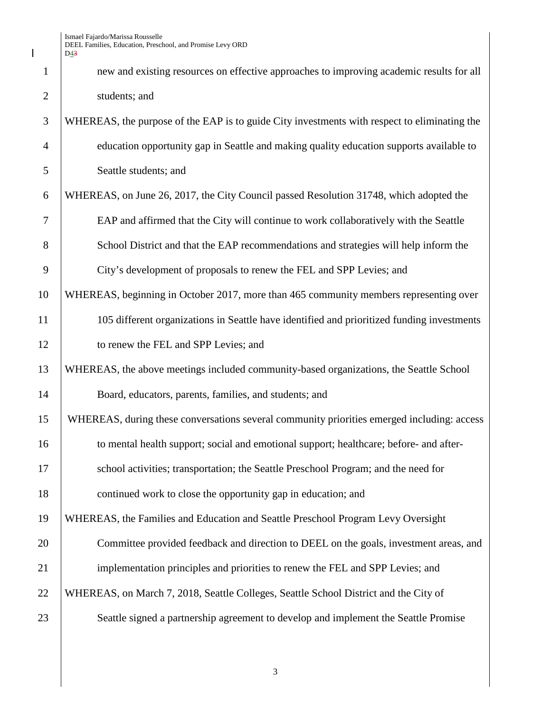$\mathbf I$ 

|                | D <sub>43</sub>                                                                              |
|----------------|----------------------------------------------------------------------------------------------|
| $\mathbf{1}$   | new and existing resources on effective approaches to improving academic results for all     |
| $\overline{2}$ | students; and                                                                                |
| 3              | WHEREAS, the purpose of the EAP is to guide City investments with respect to eliminating the |
| $\overline{4}$ | education opportunity gap in Seattle and making quality education supports available to      |
| 5              | Seattle students; and                                                                        |
| 6              | WHEREAS, on June 26, 2017, the City Council passed Resolution 31748, which adopted the       |
| 7              | EAP and affirmed that the City will continue to work collaboratively with the Seattle        |
| 8              | School District and that the EAP recommendations and strategies will help inform the         |
| 9              | City's development of proposals to renew the FEL and SPP Levies; and                         |
| 10             | WHEREAS, beginning in October 2017, more than 465 community members representing over        |
| 11             | 105 different organizations in Seattle have identified and prioritized funding investments   |
| 12             | to renew the FEL and SPP Levies; and                                                         |
| 13             | WHEREAS, the above meetings included community-based organizations, the Seattle School       |
| 14             | Board, educators, parents, families, and students; and                                       |
| 15             | WHEREAS, during these conversations several community priorities emerged including: access   |
| 16             | to mental health support; social and emotional support; healthcare; before- and after-       |
| 17             | school activities; transportation; the Seattle Preschool Program; and the need for           |
| 18             | continued work to close the opportunity gap in education; and                                |
| 19             | WHEREAS, the Families and Education and Seattle Preschool Program Levy Oversight             |
| 20             | Committee provided feedback and direction to DEEL on the goals, investment areas, and        |
| 21             | implementation principles and priorities to renew the FEL and SPP Levies; and                |
| 22             | WHEREAS, on March 7, 2018, Seattle Colleges, Seattle School District and the City of         |
| 23             | Seattle signed a partnership agreement to develop and implement the Seattle Promise          |
|                |                                                                                              |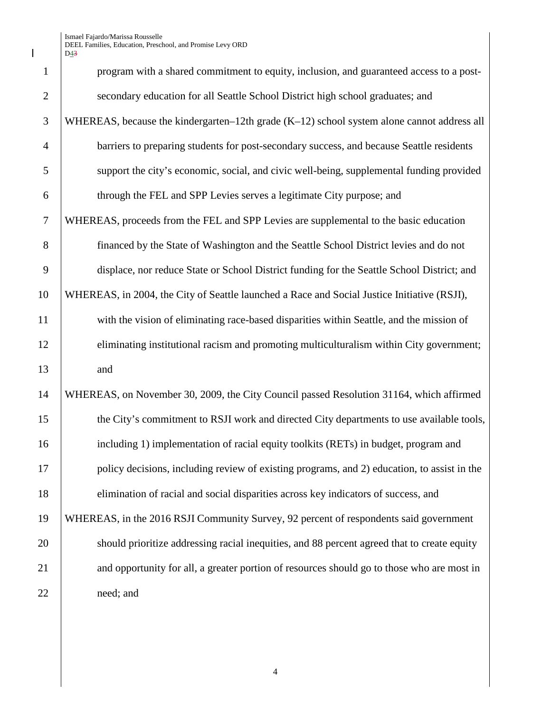$\begin{array}{c} \hline \end{array}$ 

| $\mathbf{1}$   | program with a shared commitment to equity, inclusion, and guaranteed access to a post-      |
|----------------|----------------------------------------------------------------------------------------------|
| $\overline{2}$ | secondary education for all Seattle School District high school graduates; and               |
| 3              | WHEREAS, because the kindergarten-12th grade $(K-12)$ school system alone cannot address all |
| $\overline{4}$ | barriers to preparing students for post-secondary success, and because Seattle residents     |
| 5              | support the city's economic, social, and civic well-being, supplemental funding provided     |
| 6              | through the FEL and SPP Levies serves a legitimate City purpose; and                         |
| $\overline{7}$ | WHEREAS, proceeds from the FEL and SPP Levies are supplemental to the basic education        |
| 8              | financed by the State of Washington and the Seattle School District levies and do not        |
| 9              | displace, nor reduce State or School District funding for the Seattle School District; and   |
| 10             | WHEREAS, in 2004, the City of Seattle launched a Race and Social Justice Initiative (RSJI),  |
| 11             | with the vision of eliminating race-based disparities within Seattle, and the mission of     |
| 12             | eliminating institutional racism and promoting multiculturalism within City government;      |
| 13             | and                                                                                          |
| 14             | WHEREAS, on November 30, 2009, the City Council passed Resolution 31164, which affirmed      |
| 15             | the City's commitment to RSJI work and directed City departments to use available tools,     |
| 16             | including 1) implementation of racial equity toolkits (RETs) in budget, program and          |
| 17             | policy decisions, including review of existing programs, and 2) education, to assist in the  |
| 18             | elimination of racial and social disparities across key indicators of success, and           |
| 19             | WHEREAS, in the 2016 RSJI Community Survey, 92 percent of respondents said government        |
| 20             | should prioritize addressing racial inequities, and 88 percent agreed that to create equity  |
| 21             | and opportunity for all, a greater portion of resources should go to those who are most in   |
| 22             | need; and                                                                                    |
|                |                                                                                              |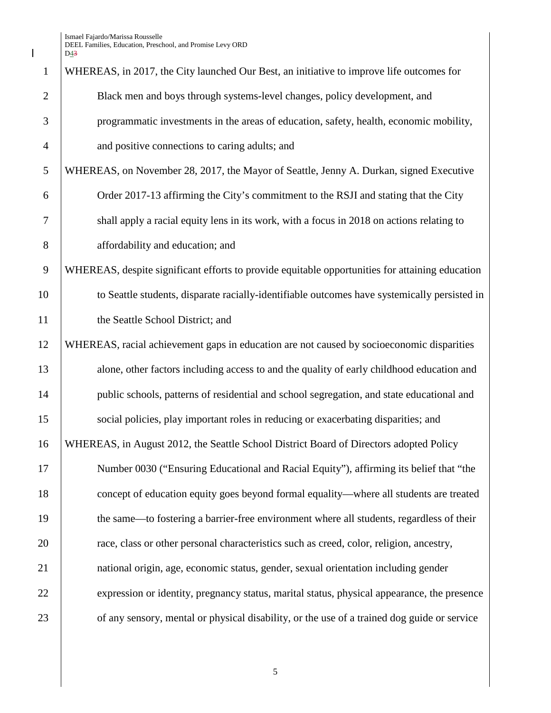$\begin{array}{c} \hline \end{array}$ 

| $\mathbf{1}$   | WHEREAS, in 2017, the City launched Our Best, an initiative to improve life outcomes for        |
|----------------|-------------------------------------------------------------------------------------------------|
| $\overline{2}$ | Black men and boys through systems-level changes, policy development, and                       |
| 3              | programmatic investments in the areas of education, safety, health, economic mobility,          |
| $\overline{4}$ | and positive connections to caring adults; and                                                  |
| 5              | WHEREAS, on November 28, 2017, the Mayor of Seattle, Jenny A. Durkan, signed Executive          |
| 6              | Order 2017-13 affirming the City's commitment to the RSJI and stating that the City             |
| $\tau$         | shall apply a racial equity lens in its work, with a focus in 2018 on actions relating to       |
| 8              | affordability and education; and                                                                |
| 9              | WHEREAS, despite significant efforts to provide equitable opportunities for attaining education |
| 10             | to Seattle students, disparate racially-identifiable outcomes have systemically persisted in    |
| 11             | the Seattle School District; and                                                                |
| 12             | WHEREAS, racial achievement gaps in education are not caused by socioeconomic disparities       |
| 13             | alone, other factors including access to and the quality of early childhood education and       |
| 14             | public schools, patterns of residential and school segregation, and state educational and       |
| 15             | social policies, play important roles in reducing or exacerbating disparities; and              |
| 16             | WHEREAS, in August 2012, the Seattle School District Board of Directors adopted Policy          |
| 17             | Number 0030 ("Ensuring Educational and Racial Equity"), affirming its belief that "the          |
| 18             | concept of education equity goes beyond formal equality—where all students are treated          |
| 19             | the same—to fostering a barrier-free environment where all students, regardless of their        |
| 20             | race, class or other personal characteristics such as creed, color, religion, ancestry,         |
| 21             | national origin, age, economic status, gender, sexual orientation including gender              |
| 22             | expression or identity, pregnancy status, marital status, physical appearance, the presence     |
| 23             | of any sensory, mental or physical disability, or the use of a trained dog guide or service     |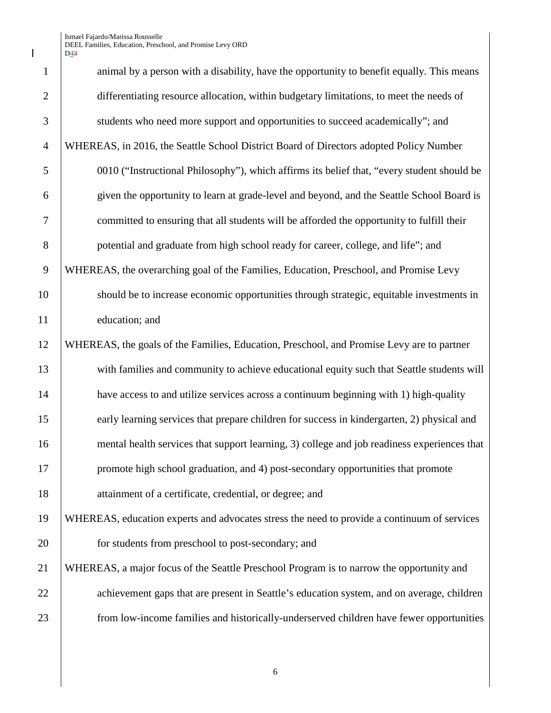$\mathbf I$ 

| $\mathbf{1}$   | animal by a person with a disability, have the opportunity to benefit equally. This means   |
|----------------|---------------------------------------------------------------------------------------------|
| $\overline{2}$ | differentiating resource allocation, within budgetary limitations, to meet the needs of     |
| 3              | students who need more support and opportunities to succeed academically"; and              |
| $\overline{4}$ | WHEREAS, in 2016, the Seattle School District Board of Directors adopted Policy Number      |
| 5              | 0010 ("Instructional Philosophy"), which affirms its belief that, "every student should be  |
| 6              | given the opportunity to learn at grade-level and beyond, and the Seattle School Board is   |
| $\overline{7}$ | committed to ensuring that all students will be afforded the opportunity to fulfill their   |
| $8\,$          | potential and graduate from high school ready for career, college, and life"; and           |
| 9              | WHEREAS, the overarching goal of the Families, Education, Preschool, and Promise Levy       |
| 10             | should be to increase economic opportunities through strategic, equitable investments in    |
| 11             | education; and                                                                              |
| 12             | WHEREAS, the goals of the Families, Education, Preschool, and Promise Levy are to partner   |
| 13             | with families and community to achieve educational equity such that Seattle students will   |
| 14             | have access to and utilize services across a continuum beginning with 1) high-quality       |
| 15             | early learning services that prepare children for success in kindergarten, 2) physical and  |
| 16             | mental health services that support learning, 3) college and job readiness experiences that |
| 17             | promote high school graduation, and 4) post-secondary opportunities that promote            |
| 18             | attainment of a certificate, credential, or degree; and                                     |
| 19             | WHEREAS, education experts and advocates stress the need to provide a continuum of services |
| 20             | for students from preschool to post-secondary; and                                          |
| 21             | WHEREAS, a major focus of the Seattle Preschool Program is to narrow the opportunity and    |
| 22             | achievement gaps that are present in Seattle's education system, and on average, children   |
| 23             | from low-income families and historically-underserved children have fewer opportunities     |
|                |                                                                                             |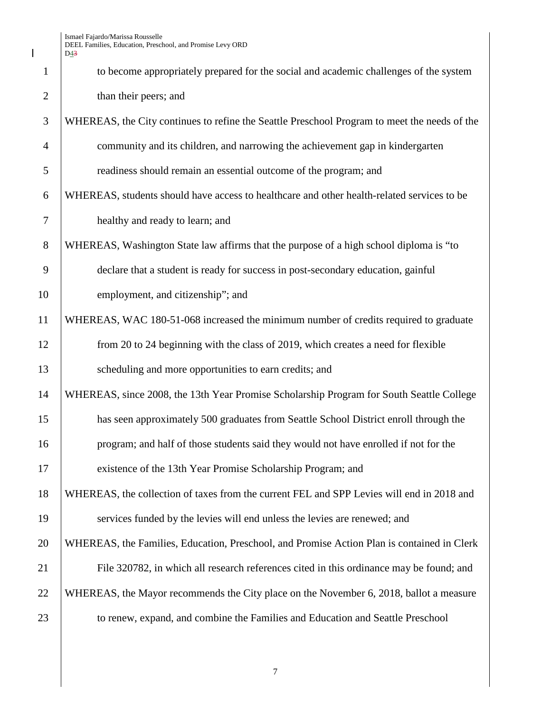$\begin{array}{c} \hline \end{array}$ 

| $\mathbf{1}$   | to become appropriately prepared for the social and academic challenges of the system        |
|----------------|----------------------------------------------------------------------------------------------|
| $\overline{2}$ | than their peers; and                                                                        |
| 3              | WHEREAS, the City continues to refine the Seattle Preschool Program to meet the needs of the |
| $\overline{4}$ | community and its children, and narrowing the achievement gap in kindergarten                |
| 5              | readiness should remain an essential outcome of the program; and                             |
| 6              | WHEREAS, students should have access to healthcare and other health-related services to be   |
| $\tau$         | healthy and ready to learn; and                                                              |
| 8              | WHEREAS, Washington State law affirms that the purpose of a high school diploma is "to       |
| 9              | declare that a student is ready for success in post-secondary education, gainful             |
| 10             | employment, and citizenship"; and                                                            |
| 11             | WHEREAS, WAC 180-51-068 increased the minimum number of credits required to graduate         |
| 12             | from 20 to 24 beginning with the class of 2019, which creates a need for flexible            |
| 13             | scheduling and more opportunities to earn credits; and                                       |
| 14             | WHEREAS, since 2008, the 13th Year Promise Scholarship Program for South Seattle College     |
| 15             | has seen approximately 500 graduates from Seattle School District enroll through the         |
| 16             | program; and half of those students said they would not have enrolled if not for the         |
| 17             | existence of the 13th Year Promise Scholarship Program; and                                  |
| 18             | WHEREAS, the collection of taxes from the current FEL and SPP Levies will end in 2018 and    |
| 19             | services funded by the levies will end unless the levies are renewed; and                    |
| 20             | WHEREAS, the Families, Education, Preschool, and Promise Action Plan is contained in Clerk   |
| 21             | File 320782, in which all research references cited in this ordinance may be found; and      |
| 22             | WHEREAS, the Mayor recommends the City place on the November 6, 2018, ballot a measure       |
| 23             | to renew, expand, and combine the Families and Education and Seattle Preschool               |
|                |                                                                                              |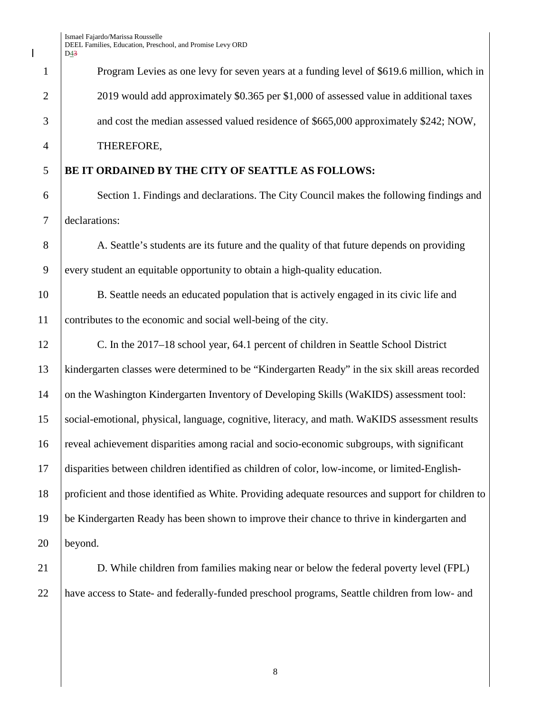Program Levies as one levy for seven years at a funding level of \$619.6 million, which in 2 2019 would add approximately \$0.365 per \$1,000 of assessed value in additional taxes 3 and cost the median assessed valued residence of \$665,000 approximately \$242; NOW, THEREFORE,

## **BE IT ORDAINED BY THE CITY OF SEATTLE AS FOLLOWS:**

 Section 1. Findings and declarations. The City Council makes the following findings and declarations:

8 A. Seattle's students are its future and the quality of that future depends on providing 9 every student an equitable opportunity to obtain a high-quality education.

 B. Seattle needs an educated population that is actively engaged in its civic life and contributes to the economic and social well-being of the city.

 C. In the 2017–18 school year, 64.1 percent of children in Seattle School District kindergarten classes were determined to be "Kindergarten Ready" in the six skill areas recorded 14 on the Washington Kindergarten Inventory of Developing Skills (WaKIDS) assessment tool: social-emotional, physical, language, cognitive, literacy, and math. WaKIDS assessment results reveal achievement disparities among racial and socio-economic subgroups, with significant disparities between children identified as children of color, low-income, or limited-English- proficient and those identified as White. Providing adequate resources and support for children to be Kindergarten Ready has been shown to improve their chance to thrive in kindergarten and beyond.

 D. While children from families making near or below the federal poverty level (FPL) have access to State- and federally-funded preschool programs, Seattle children from low- and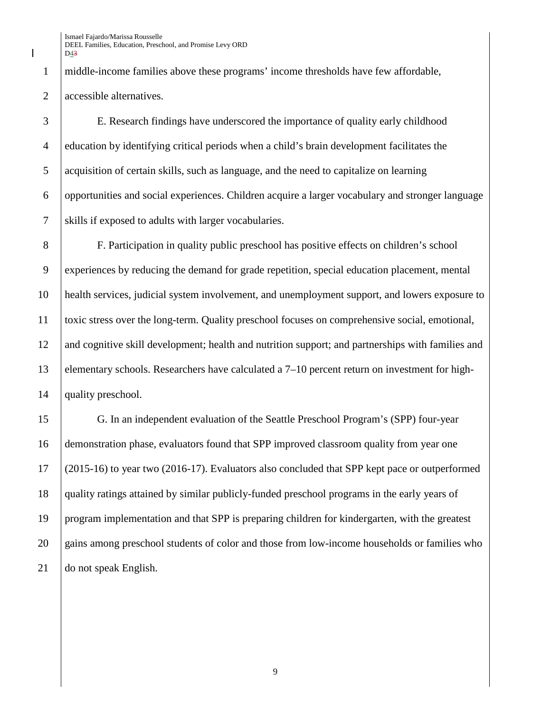middle-income families above these programs' income thresholds have few affordable, accessible alternatives.

 E. Research findings have underscored the importance of quality early childhood education by identifying critical periods when a child's brain development facilitates the acquisition of certain skills, such as language, and the need to capitalize on learning opportunities and social experiences. Children acquire a larger vocabulary and stronger language skills if exposed to adults with larger vocabularies.

 F. Participation in quality public preschool has positive effects on children's school experiences by reducing the demand for grade repetition, special education placement, mental health services, judicial system involvement, and unemployment support, and lowers exposure to toxic stress over the long-term. Quality preschool focuses on comprehensive social, emotional, and cognitive skill development; health and nutrition support; and partnerships with families and elementary schools. Researchers have calculated a 7–10 percent return on investment for high-14 | quality preschool.

 G. In an independent evaluation of the Seattle Preschool Program's (SPP) four-year demonstration phase, evaluators found that SPP improved classroom quality from year one (2015-16) to year two (2016-17). Evaluators also concluded that SPP kept pace or outperformed quality ratings attained by similar publicly-funded preschool programs in the early years of program implementation and that SPP is preparing children for kindergarten, with the greatest 20 gains among preschool students of color and those from low-income households or families who 21 do not speak English.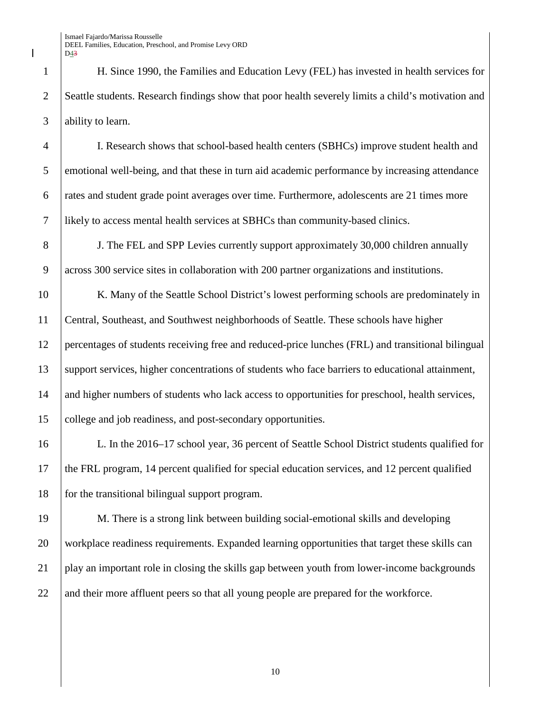H. Since 1990, the Families and Education Levy (FEL) has invested in health services for 2 Seattle students. Research findings show that poor health severely limits a child's motivation and ability to learn.

 I. Research shows that school-based health centers (SBHCs) improve student health and emotional well-being, and that these in turn aid academic performance by increasing attendance rates and student grade point averages over time. Furthermore, adolescents are 21 times more likely to access mental health services at SBHCs than community-based clinics.

 J. The FEL and SPP Levies currently support approximately 30,000 children annually across 300 service sites in collaboration with 200 partner organizations and institutions.

10 K. Many of the Seattle School District's lowest performing schools are predominately in Central, Southeast, and Southwest neighborhoods of Seattle. These schools have higher percentages of students receiving free and reduced-price lunches (FRL) and transitional bilingual support services, higher concentrations of students who face barriers to educational attainment, 14 and higher numbers of students who lack access to opportunities for preschool, health services, college and job readiness, and post-secondary opportunities.

 L. In the 2016–17 school year, 36 percent of Seattle School District students qualified for the FRL program, 14 percent qualified for special education services, and 12 percent qualified for the transitional bilingual support program.

 M. There is a strong link between building social-emotional skills and developing workplace readiness requirements. Expanded learning opportunities that target these skills can play an important role in closing the skills gap between youth from lower-income backgrounds 22 and their more affluent peers so that all young people are prepared for the workforce.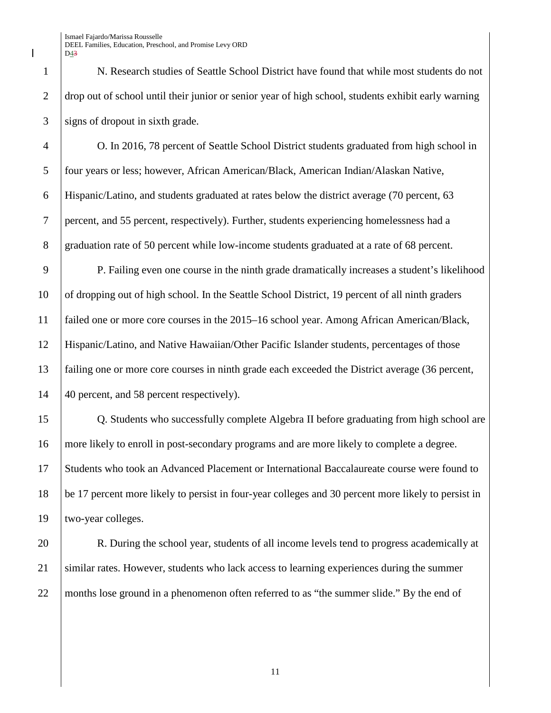N. Research studies of Seattle School District have found that while most students do not drop out of school until their junior or senior year of high school, students exhibit early warning signs of dropout in sixth grade.

 O. In 2016, 78 percent of Seattle School District students graduated from high school in four years or less; however, African American/Black, American Indian/Alaskan Native, Hispanic/Latino, and students graduated at rates below the district average (70 percent, 63 percent, and 55 percent, respectively). Further, students experiencing homelessness had a 8 graduation rate of 50 percent while low-income students graduated at a rate of 68 percent.

 P. Failing even one course in the ninth grade dramatically increases a student's likelihood 10 | of dropping out of high school. In the Seattle School District, 19 percent of all ninth graders failed one or more core courses in the 2015–16 school year. Among African American/Black, Hispanic/Latino, and Native Hawaiian/Other Pacific Islander students, percentages of those failing one or more core courses in ninth grade each exceeded the District average (36 percent, 14 | 40 percent, and 58 percent respectively).

 Q. Students who successfully complete Algebra II before graduating from high school are more likely to enroll in post-secondary programs and are more likely to complete a degree. Students who took an Advanced Placement or International Baccalaureate course were found to be 17 percent more likely to persist in four-year colleges and 30 percent more likely to persist in two-year colleges.

20 R. During the school year, students of all income levels tend to progress academically at similar rates. However, students who lack access to learning experiences during the summer months lose ground in a phenomenon often referred to as "the summer slide." By the end of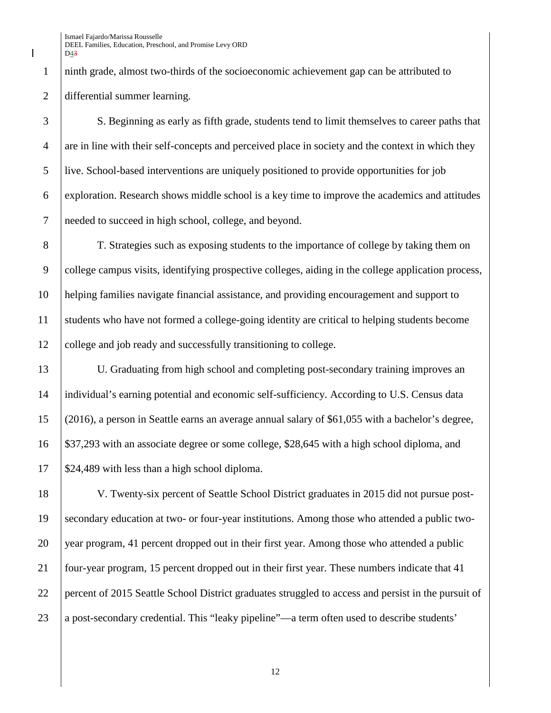ninth grade, almost two-thirds of the socioeconomic achievement gap can be attributed to differential summer learning.

 S. Beginning as early as fifth grade, students tend to limit themselves to career paths that 4 are in line with their self-concepts and perceived place in society and the context in which they live. School-based interventions are uniquely positioned to provide opportunities for job exploration. Research shows middle school is a key time to improve the academics and attitudes needed to succeed in high school, college, and beyond.

 T. Strategies such as exposing students to the importance of college by taking them on college campus visits, identifying prospective colleges, aiding in the college application process, helping families navigate financial assistance, and providing encouragement and support to students who have not formed a college-going identity are critical to helping students become college and job ready and successfully transitioning to college.

 U. Graduating from high school and completing post-secondary training improves an individual's earning potential and economic self-sufficiency. According to U.S. Census data (2016), a person in Seattle earns an average annual salary of \$61,055 with a bachelor's degree, \$37,293 with an associate degree or some college, \$28,645 with a high school diploma, and | \$24,489 with less than a high school diploma.

 V. Twenty-six percent of Seattle School District graduates in 2015 did not pursue post- secondary education at two- or four-year institutions. Among those who attended a public two-20 year program, 41 percent dropped out in their first year. Among those who attended a public four-year program, 15 percent dropped out in their first year. These numbers indicate that 41 percent of 2015 Seattle School District graduates struggled to access and persist in the pursuit of a post-secondary credential. This "leaky pipeline"—a term often used to describe students'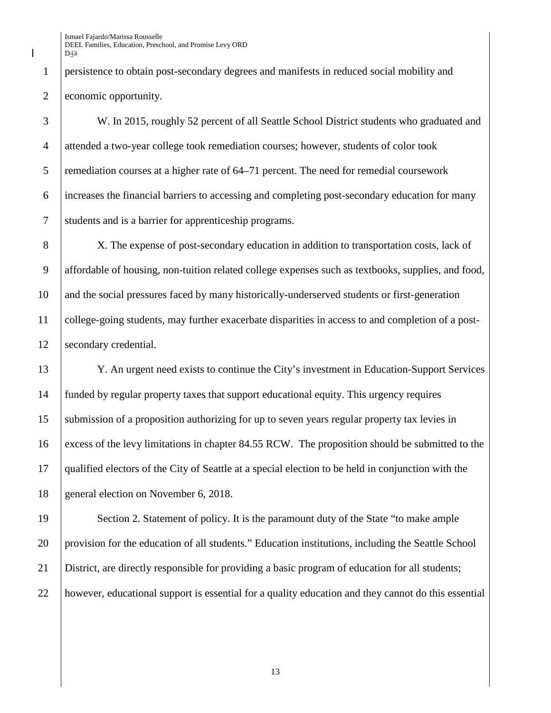persistence to obtain post-secondary degrees and manifests in reduced social mobility and 2 economic opportunity.

 W. In 2015, roughly 52 percent of all Seattle School District students who graduated and attended a two-year college took remediation courses; however, students of color took 5 remediation courses at a higher rate of 64–71 percent. The need for remedial coursework increases the financial barriers to accessing and completing post-secondary education for many students and is a barrier for apprenticeship programs.

8 X. The expense of post-secondary education in addition to transportation costs, lack of affordable of housing, non-tuition related college expenses such as textbooks, supplies, and food, and the social pressures faced by many historically-underserved students or first-generation college-going students, may further exacerbate disparities in access to and completion of a post-12 | secondary credential.

 Y. An urgent need exists to continue the City's investment in Education-Support Services funded by regular property taxes that support educational equity. This urgency requires submission of a proposition authorizing for up to seven years regular property tax levies in excess of the levy limitations in chapter 84.55 RCW. The proposition should be submitted to the qualified electors of the City of Seattle at a special election to be held in conjunction with the 18 general election on November 6, 2018.

19 Section 2. Statement of policy. It is the paramount duty of the State "to make ample" provision for the education of all students." Education institutions, including the Seattle School District, are directly responsible for providing a basic program of education for all students; however, educational support is essential for a quality education and they cannot do this essential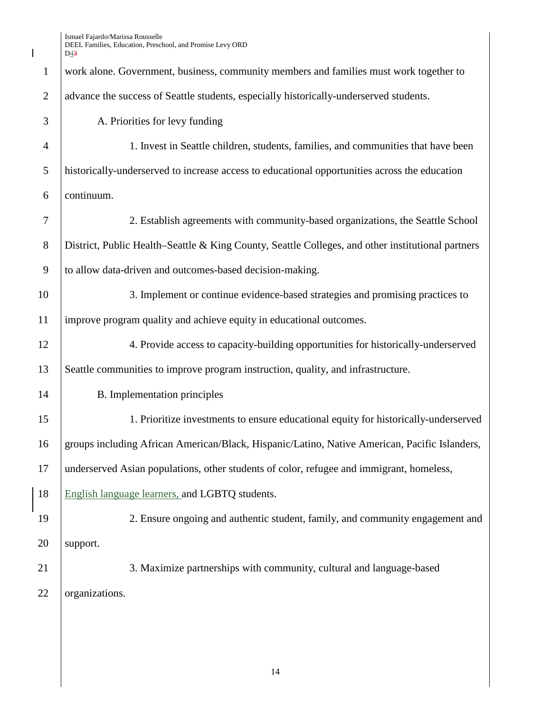$\begin{array}{c} \hline \end{array}$ 

| $\mathbf{1}$   | work alone. Government, business, community members and families must work together to            |
|----------------|---------------------------------------------------------------------------------------------------|
| $\overline{2}$ | advance the success of Seattle students, especially historically-underserved students.            |
| 3              | A. Priorities for levy funding                                                                    |
| $\overline{4}$ | 1. Invest in Seattle children, students, families, and communities that have been                 |
| 5              | historically-underserved to increase access to educational opportunities across the education     |
| 6              | continuum.                                                                                        |
| $\tau$         | 2. Establish agreements with community-based organizations, the Seattle School                    |
| $8\,$          | District, Public Health–Seattle & King County, Seattle Colleges, and other institutional partners |
| 9              | to allow data-driven and outcomes-based decision-making.                                          |
| 10             | 3. Implement or continue evidence-based strategies and promising practices to                     |
| 11             | improve program quality and achieve equity in educational outcomes.                               |
| 12             | 4. Provide access to capacity-building opportunities for historically-underserved                 |
| 13             | Seattle communities to improve program instruction, quality, and infrastructure.                  |
| 14             | B. Implementation principles                                                                      |
| 15             | 1. Prioritize investments to ensure educational equity for historically-underserved               |
| 16             | groups including African American/Black, Hispanic/Latino, Native American, Pacific Islanders,     |
| 17             | underserved Asian populations, other students of color, refugee and immigrant, homeless,          |
| 18             | English language learners, and LGBTQ students.                                                    |
| 19             | 2. Ensure ongoing and authentic student, family, and community engagement and                     |
| 20             | support.                                                                                          |
| 21             | 3. Maximize partnerships with community, cultural and language-based                              |
| 22             | organizations.                                                                                    |
|                |                                                                                                   |
|                |                                                                                                   |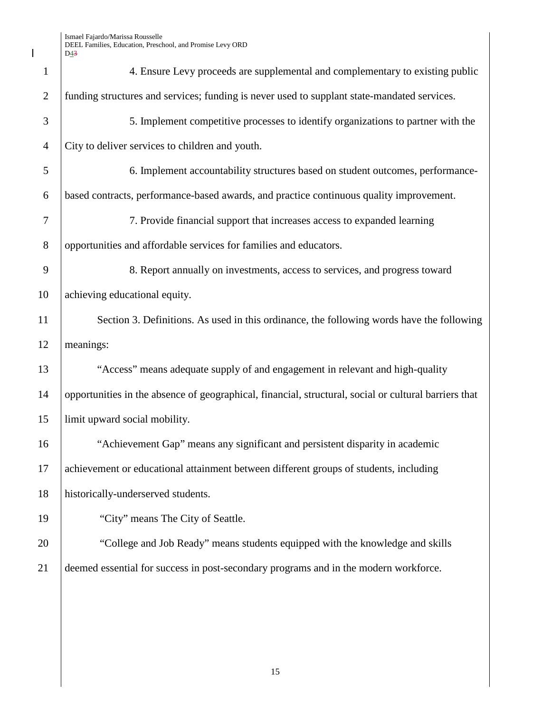$\overline{\phantom{a}}$ 

| $\mathbf{1}$   | 4. Ensure Levy proceeds are supplemental and complementary to existing public                         |
|----------------|-------------------------------------------------------------------------------------------------------|
| $\overline{2}$ | funding structures and services; funding is never used to supplant state-mandated services.           |
| 3              | 5. Implement competitive processes to identify organizations to partner with the                      |
| $\overline{4}$ | City to deliver services to children and youth.                                                       |
| 5              | 6. Implement accountability structures based on student outcomes, performance-                        |
| 6              | based contracts, performance-based awards, and practice continuous quality improvement.               |
| $\overline{7}$ | 7. Provide financial support that increases access to expanded learning                               |
| $8\,$          | opportunities and affordable services for families and educators.                                     |
| 9              | 8. Report annually on investments, access to services, and progress toward                            |
| 10             | achieving educational equity.                                                                         |
| 11             | Section 3. Definitions. As used in this ordinance, the following words have the following             |
| 12             | meanings:                                                                                             |
| 13             | "Access" means adequate supply of and engagement in relevant and high-quality                         |
| 14             | opportunities in the absence of geographical, financial, structural, social or cultural barriers that |
| 15             | limit upward social mobility.                                                                         |
| 16             | "Achievement Gap" means any significant and persistent disparity in academic                          |
| 17             | achievement or educational attainment between different groups of students, including                 |
| 18             | historically-underserved students.                                                                    |
| 19             | "City" means The City of Seattle.                                                                     |
| 20             | "College and Job Ready" means students equipped with the knowledge and skills                         |
| 21             | deemed essential for success in post-secondary programs and in the modern workforce.                  |
|                |                                                                                                       |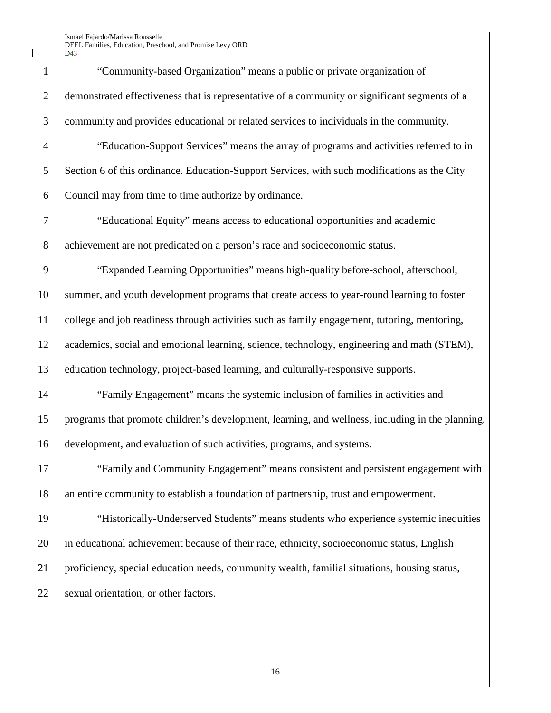1 "Community-based Organization" means a public or private organization of 2 demonstrated effectiveness that is representative of a community or significant segments of a 3 community and provides educational or related services to individuals in the community.

4 "Education-Support Services" means the array of programs and activities referred to in 5 Section 6 of this ordinance. Education-Support Services, with such modifications as the City 6 Council may from time to time authorize by ordinance.

7 "Educational Equity" means access to educational opportunities and academic 8 achievement are not predicated on a person's race and socioeconomic status.

9 "Expanded Learning Opportunities" means high-quality before-school, afterschool, 10 summer, and youth development programs that create access to year-round learning to foster 11 college and job readiness through activities such as family engagement, tutoring, mentoring, 12 academics, social and emotional learning, science, technology, engineering and math (STEM), 13 education technology, project-based learning, and culturally-responsive supports.

14 "Family Engagement" means the systemic inclusion of families in activities and 15 programs that promote children's development, learning, and wellness, including in the planning, 16 development, and evaluation of such activities, programs, and systems.

17 The "Family and Community Engagement" means consistent and persistent engagement with 18 an entire community to establish a foundation of partnership, trust and empowerment.

19 "Historically-Underserved Students" means students who experience systemic inequities 20 in educational achievement because of their race, ethnicity, socioeconomic status, English 21 proficiency, special education needs, community wealth, familial situations, housing status, 22 Sexual orientation, or other factors.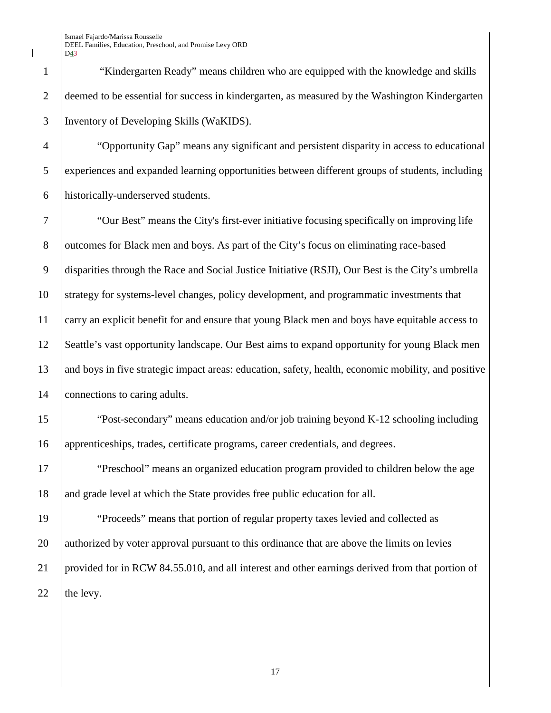"Kindergarten Ready" means children who are equipped with the knowledge and skills deemed to be essential for success in kindergarten, as measured by the Washington Kindergarten Inventory of Developing Skills (WaKIDS).

 "Opportunity Gap" means any significant and persistent disparity in access to educational experiences and expanded learning opportunities between different groups of students, including historically-underserved students.

 "Our Best" means the City's first-ever initiative focusing specifically on improving life 8 outcomes for Black men and boys. As part of the City's focus on eliminating race-based disparities through the Race and Social Justice Initiative (RSJI), Our Best is the City's umbrella strategy for systems-level changes, policy development, and programmatic investments that carry an explicit benefit for and ensure that young Black men and boys have equitable access to Seattle's vast opportunity landscape. Our Best aims to expand opportunity for young Black men and boys in five strategic impact areas: education, safety, health, economic mobility, and positive 14 connections to caring adults.

 "Post-secondary" means education and/or job training beyond K-12 schooling including apprenticeships, trades, certificate programs, career credentials, and degrees.

17 "Preschool" means an organized education program provided to children below the age 18 and grade level at which the State provides free public education for all.

 "Proceeds" means that portion of regular property taxes levied and collected as 20 authorized by voter approval pursuant to this ordinance that are above the limits on levies provided for in RCW 84.55.010, and all interest and other earnings derived from that portion of  $\parallel$  the levy.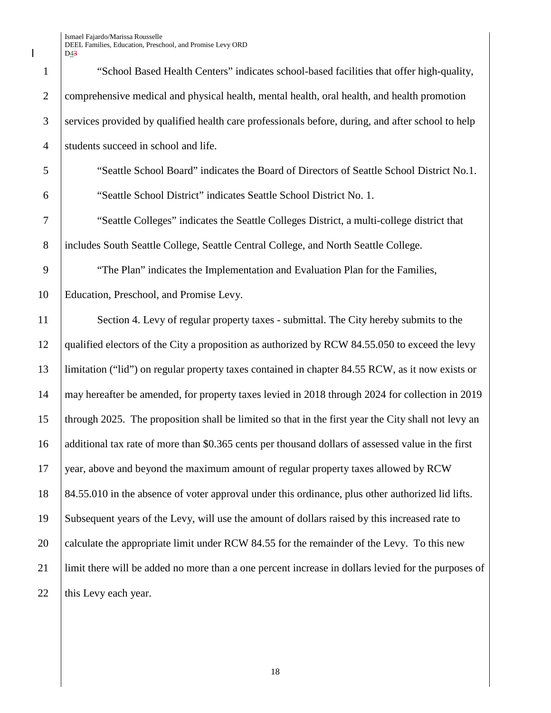$\overline{\phantom{a}}$ 

|                | D <sub>43</sub>                                                                                     |
|----------------|-----------------------------------------------------------------------------------------------------|
| $\mathbf{1}$   | "School Based Health Centers" indicates school-based facilities that offer high-quality,            |
| $\overline{2}$ | comprehensive medical and physical health, mental health, oral health, and health promotion         |
| 3              | services provided by qualified health care professionals before, during, and after school to help   |
| $\overline{4}$ | students succeed in school and life.                                                                |
| 5              | "Seattle School Board" indicates the Board of Directors of Seattle School District No.1.            |
| 6              | "Seattle School District" indicates Seattle School District No. 1.                                  |
| 7              | "Seattle Colleges" indicates the Seattle Colleges District, a multi-college district that           |
| 8              | includes South Seattle College, Seattle Central College, and North Seattle College.                 |
| 9              | "The Plan" indicates the Implementation and Evaluation Plan for the Families,                       |
| 10             | Education, Preschool, and Promise Levy.                                                             |
| 11             | Section 4. Levy of regular property taxes - submittal. The City hereby submits to the               |
| 12             | qualified electors of the City a proposition as authorized by RCW 84.55.050 to exceed the levy      |
| 13             | limitation ("lid") on regular property taxes contained in chapter 84.55 RCW, as it now exists or    |
| 14             | may hereafter be amended, for property taxes levied in 2018 through 2024 for collection in 2019     |
| 15             | through 2025. The proposition shall be limited so that in the first year the City shall not levy an |
| 16             | additional tax rate of more than \$0.365 cents per thousand dollars of assessed value in the first  |
| 17             | year, above and beyond the maximum amount of regular property taxes allowed by RCW                  |
| 18             | 84.55.010 in the absence of voter approval under this ordinance, plus other authorized lid lifts.   |
| 19             | Subsequent years of the Levy, will use the amount of dollars raised by this increased rate to       |
| 20             | calculate the appropriate limit under RCW 84.55 for the remainder of the Levy. To this new          |
| 21             | limit there will be added no more than a one percent increase in dollars levied for the purposes of |
| 22             | this Levy each year.                                                                                |
|                |                                                                                                     |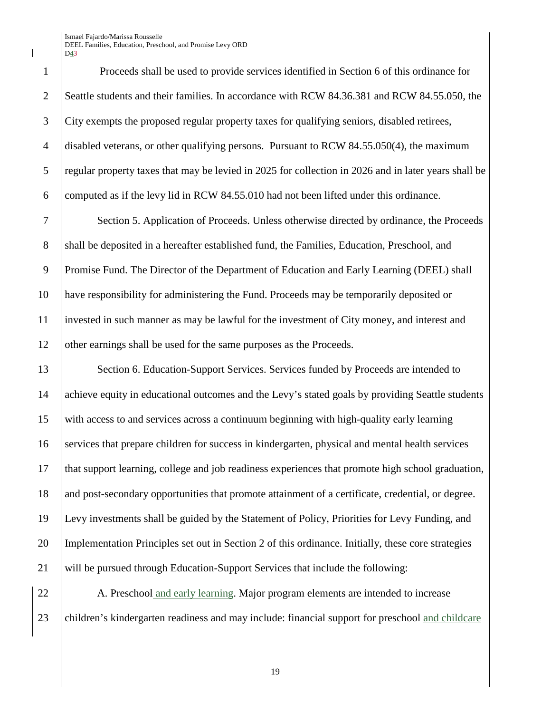Proceeds shall be used to provide services identified in Section 6 of this ordinance for 2 Seattle students and their families. In accordance with RCW 84.36.381 and RCW 84.55.050, the City exempts the proposed regular property taxes for qualifying seniors, disabled retirees, disabled veterans, or other qualifying persons. Pursuant to RCW 84.55.050(4), the maximum regular property taxes that may be levied in 2025 for collection in 2026 and in later years shall be computed as if the levy lid in RCW 84.55.010 had not been lifted under this ordinance.

 Section 5. Application of Proceeds. Unless otherwise directed by ordinance, the Proceeds 8 Shall be deposited in a hereafter established fund, the Families, Education, Preschool, and Promise Fund. The Director of the Department of Education and Early Learning (DEEL) shall have responsibility for administering the Fund. Proceeds may be temporarily deposited or invested in such manner as may be lawful for the investment of City money, and interest and 12 other earnings shall be used for the same purposes as the Proceeds.

13 Section 6. Education-Support Services. Services funded by Proceeds are intended to 14 achieve equity in educational outcomes and the Levy's stated goals by providing Seattle students with access to and services across a continuum beginning with high-quality early learning services that prepare children for success in kindergarten, physical and mental health services that support learning, college and job readiness experiences that promote high school graduation, 18 and post-secondary opportunities that promote attainment of a certificate, credential, or degree. Levy investments shall be guided by the Statement of Policy, Priorities for Levy Funding, and Implementation Principles set out in Section 2 of this ordinance. Initially, these core strategies will be pursued through Education-Support Services that include the following:

22 A. Preschool and early learning. Major program elements are intended to increase 23 children's kindergarten readiness and may include: financial support for preschool and childcare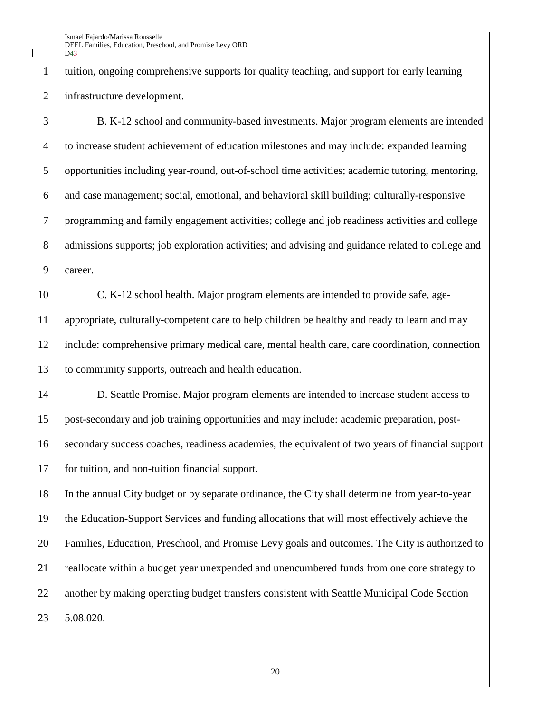tuition, ongoing comprehensive supports for quality teaching, and support for early learning infrastructure development.

 B. K-12 school and community-based investments. Major program elements are intended to increase student achievement of education milestones and may include: expanded learning opportunities including year-round, out-of-school time activities; academic tutoring, mentoring,  $\overline{6}$  and case management; social, emotional, and behavioral skill building; culturally-responsive programming and family engagement activities; college and job readiness activities and college 8 admissions supports; job exploration activities; and advising and guidance related to college and career.

 C. K-12 school health. Major program elements are intended to provide safe, age- appropriate, culturally-competent care to help children be healthy and ready to learn and may include: comprehensive primary medical care, mental health care, care coordination, connection to community supports, outreach and health education.

 D. Seattle Promise. Major program elements are intended to increase student access to post-secondary and job training opportunities and may include: academic preparation, post- secondary success coaches, readiness academies, the equivalent of two years of financial support for tuition, and non-tuition financial support.

 In the annual City budget or by separate ordinance, the City shall determine from year-to-year the Education-Support Services and funding allocations that will most effectively achieve the Families, Education, Preschool, and Promise Levy goals and outcomes. The City is authorized to 21 reallocate within a budget year unexpended and unencumbered funds from one core strategy to 22 another by making operating budget transfers consistent with Seattle Municipal Code Section 5.08.020.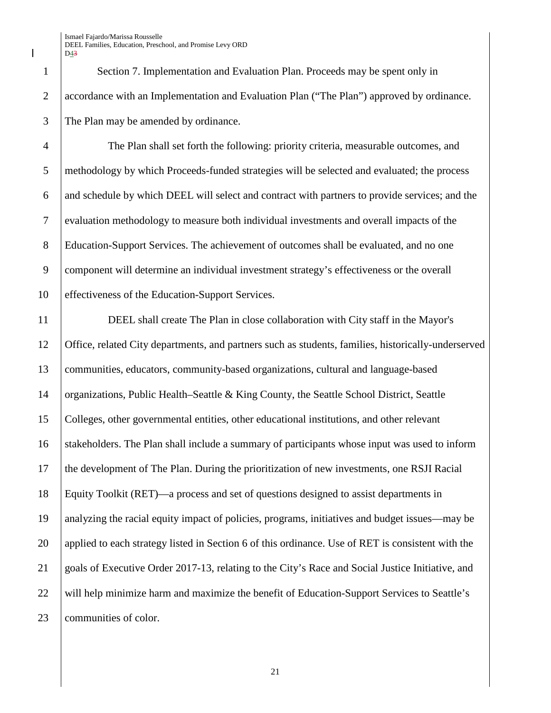Section 7. Implementation and Evaluation Plan. Proceeds may be spent only in accordance with an Implementation and Evaluation Plan ("The Plan") approved by ordinance. The Plan may be amended by ordinance.

 The Plan shall set forth the following: priority criteria, measurable outcomes, and methodology by which Proceeds-funded strategies will be selected and evaluated; the process and schedule by which DEEL will select and contract with partners to provide services; and the evaluation methodology to measure both individual investments and overall impacts of the Education-Support Services. The achievement of outcomes shall be evaluated, and no one component will determine an individual investment strategy's effectiveness or the overall effectiveness of the Education-Support Services.

 DEEL shall create The Plan in close collaboration with City staff in the Mayor's Office, related City departments, and partners such as students, families, historically-underserved communities, educators, community-based organizations, cultural and language-based organizations, Public Health–Seattle & King County, the Seattle School District, Seattle Colleges, other governmental entities, other educational institutions, and other relevant 16 Stakeholders. The Plan shall include a summary of participants whose input was used to inform the development of The Plan. During the prioritization of new investments, one RSJI Racial Equity Toolkit (RET)—a process and set of questions designed to assist departments in analyzing the racial equity impact of policies, programs, initiatives and budget issues—may be 20 applied to each strategy listed in Section 6 of this ordinance. Use of RET is consistent with the goals of Executive Order 2017-13, relating to the City's Race and Social Justice Initiative, and 22 will help minimize harm and maximize the benefit of Education-Support Services to Seattle's 23 communities of color.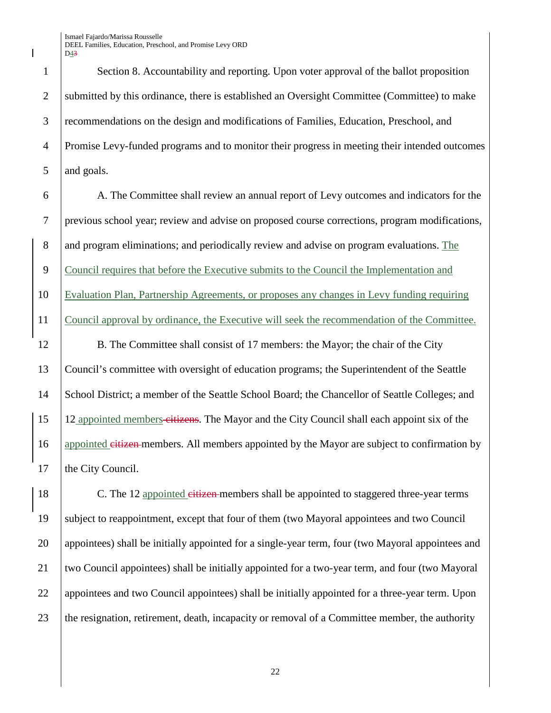1 Section 8. Accountability and reporting. Upon voter approval of the ballot proposition 2 Submitted by this ordinance, there is established an Oversight Committee (Committee) to make 3 recommendations on the design and modifications of Families, Education, Preschool, and 4 Promise Levy-funded programs and to monitor their progress in meeting their intended outcomes 5 and goals.

 A. The Committee shall review an annual report of Levy outcomes and indicators for the previous school year; review and advise on proposed course corrections, program modifications, 8 and program eliminations; and periodically review and advise on program evaluations. The Council requires that before the Executive submits to the Council the Implementation and Evaluation Plan, Partnership Agreements, or proposes any changes in Levy funding requiring Council approval by ordinance, the Executive will seek the recommendation of the Committee.

12 B. The Committee shall consist of 17 members: the Mayor; the chair of the City 13 Council's committee with oversight of education programs; the Superintendent of the Seattle 14 School District; a member of the Seattle School Board; the Chancellor of Seattle Colleges; and 15 12 appointed members citizens. The Mayor and the City Council shall each appoint six of the 16 appointed eitizen members. All members appointed by the Mayor are subject to confirmation by 17 the City Council.

18 C. The 12 appointed eitizen-members shall be appointed to staggered three-year terms 19 subject to reappointment, except that four of them (two Mayoral appointees and two Council 20 appointees) shall be initially appointed for a single-year term, four (two Mayoral appointees and 21 two Council appointees) shall be initially appointed for a two-year term, and four (two Mayoral 22 appointees and two Council appointees) shall be initially appointed for a three-year term. Upon 23 the resignation, retirement, death, incapacity or removal of a Committee member, the authority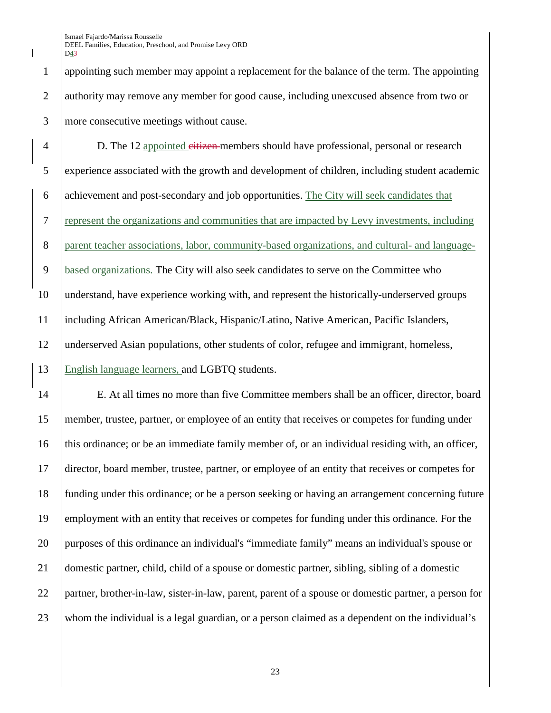appointing such member may appoint a replacement for the balance of the term. The appointing 2 authority may remove any member for good cause, including unexcused absence from two or more consecutive meetings without cause.

4 D. The 12 appointed eitizen members should have professional, personal or research experience associated with the growth and development of children, including student academic achievement and post-secondary and job opportunities. The City will seek candidates that represent the organizations and communities that are impacted by Levy investments, including parent teacher associations, labor, community-based organizations, and cultural- and language- based organizations. The City will also seek candidates to serve on the Committee who understand, have experience working with, and represent the historically-underserved groups including African American/Black, Hispanic/Latino, Native American, Pacific Islanders, underserved Asian populations, other students of color, refugee and immigrant, homeless, English language learners, and LGBTQ students.

 E. At all times no more than five Committee members shall be an officer, director, board member, trustee, partner, or employee of an entity that receives or competes for funding under this ordinance; or be an immediate family member of, or an individual residing with, an officer, director, board member, trustee, partner, or employee of an entity that receives or competes for funding under this ordinance; or be a person seeking or having an arrangement concerning future employment with an entity that receives or competes for funding under this ordinance. For the purposes of this ordinance an individual's "immediate family" means an individual's spouse or domestic partner, child, child of a spouse or domestic partner, sibling, sibling of a domestic partner, brother-in-law, sister-in-law, parent, parent of a spouse or domestic partner, a person for whom the individual is a legal guardian, or a person claimed as a dependent on the individual's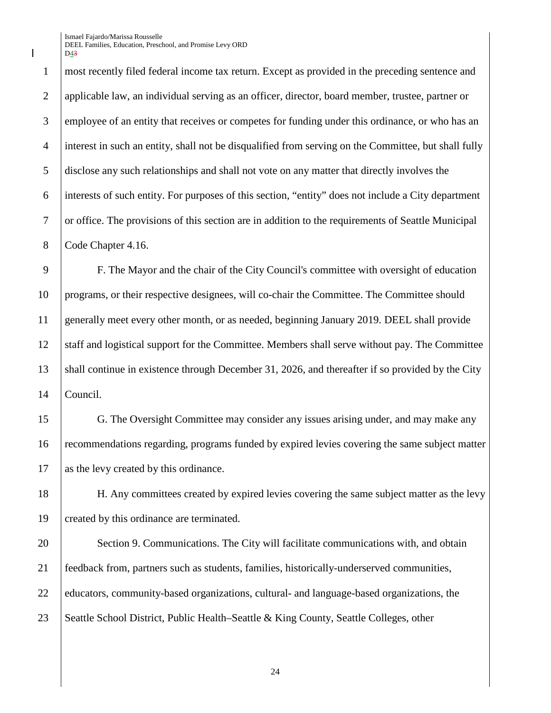most recently filed federal income tax return. Except as provided in the preceding sentence and applicable law, an individual serving as an officer, director, board member, trustee, partner or 3 employee of an entity that receives or competes for funding under this ordinance, or who has an interest in such an entity, shall not be disqualified from serving on the Committee, but shall fully disclose any such relationships and shall not vote on any matter that directly involves the interests of such entity. For purposes of this section, "entity" does not include a City department or office. The provisions of this section are in addition to the requirements of Seattle Municipal 8 Code Chapter 4.16.

9 F. The Mayor and the chair of the City Council's committee with oversight of education 10 programs, or their respective designees, will co-chair the Committee. The Committee should 11 generally meet every other month, or as needed, beginning January 2019. DEEL shall provide 12 Staff and logistical support for the Committee. Members shall serve without pay. The Committee 13 Shall continue in existence through December 31, 2026, and thereafter if so provided by the City 14 Council.

15 G. The Oversight Committee may consider any issues arising under, and may make any 16 recommendations regarding, programs funded by expired levies covering the same subject matter 17 as the levy created by this ordinance.

18 H. Any committees created by expired levies covering the same subject matter as the levy 19 created by this ordinance are terminated.

20 Section 9. Communications. The City will facilitate communications with, and obtain 21 feedback from, partners such as students, families, historically-underserved communities, 22 educators, community-based organizations, cultural- and language-based organizations, the 23 Seattle School District, Public Health–Seattle & King County, Seattle Colleges, other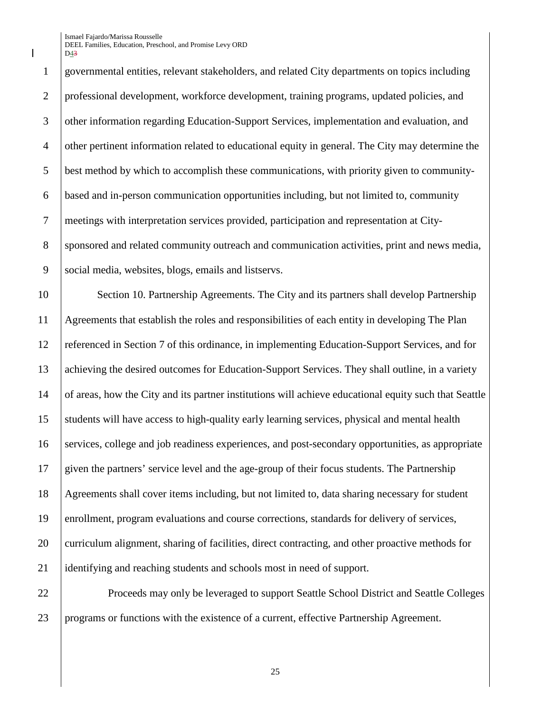governmental entities, relevant stakeholders, and related City departments on topics including professional development, workforce development, training programs, updated policies, and other information regarding Education-Support Services, implementation and evaluation, and other pertinent information related to educational equity in general. The City may determine the best method by which to accomplish these communications, with priority given to community- based and in-person communication opportunities including, but not limited to, community meetings with interpretation services provided, participation and representation at City-8 sponsored and related community outreach and communication activities, print and news media, social media, websites, blogs, emails and listservs.

 Section 10. Partnership Agreements. The City and its partners shall develop Partnership Agreements that establish the roles and responsibilities of each entity in developing The Plan referenced in Section 7 of this ordinance, in implementing Education-Support Services, and for achieving the desired outcomes for Education-Support Services. They shall outline, in a variety of areas, how the City and its partner institutions will achieve educational equity such that Seattle students will have access to high-quality early learning services, physical and mental health services, college and job readiness experiences, and post-secondary opportunities, as appropriate given the partners' service level and the age-group of their focus students. The Partnership Agreements shall cover items including, but not limited to, data sharing necessary for student enrollment, program evaluations and course corrections, standards for delivery of services, 20 curriculum alignment, sharing of facilities, direct contracting, and other proactive methods for identifying and reaching students and schools most in need of support.

**Proceeds may only be leveraged to support Seattle School District and Seattle Colleges** programs or functions with the existence of a current, effective Partnership Agreement.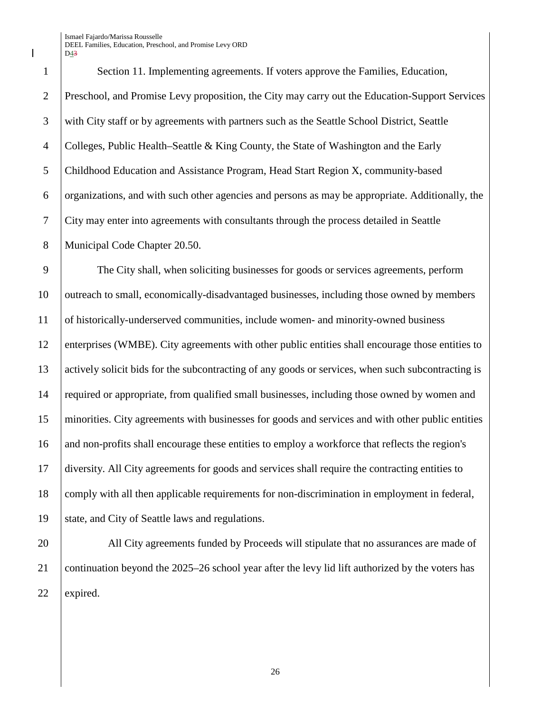Section 11. Implementing agreements. If voters approve the Families, Education, Preschool, and Promise Levy proposition, the City may carry out the Education-Support Services with City staff or by agreements with partners such as the Seattle School District, Seattle Colleges, Public Health–Seattle & King County, the State of Washington and the Early Childhood Education and Assistance Program, Head Start Region X, community-based organizations, and with such other agencies and persons as may be appropriate. Additionally, the City may enter into agreements with consultants through the process detailed in Seattle 8 | Municipal Code Chapter 20.50.

 The City shall, when soliciting businesses for goods or services agreements, perform 10 outreach to small, economically-disadvantaged businesses, including those owned by members of historically-underserved communities, include women- and minority-owned business enterprises (WMBE). City agreements with other public entities shall encourage those entities to actively solicit bids for the subcontracting of any goods or services, when such subcontracting is required or appropriate, from qualified small businesses, including those owned by women and minorities. City agreements with businesses for goods and services and with other public entities 16 and non-profits shall encourage these entities to employ a workforce that reflects the region's diversity. All City agreements for goods and services shall require the contracting entities to comply with all then applicable requirements for non-discrimination in employment in federal, state, and City of Seattle laws and regulations.

20 All City agreements funded by Proceeds will stipulate that no assurances are made of continuation beyond the 2025–26 school year after the levy lid lift authorized by the voters has expired.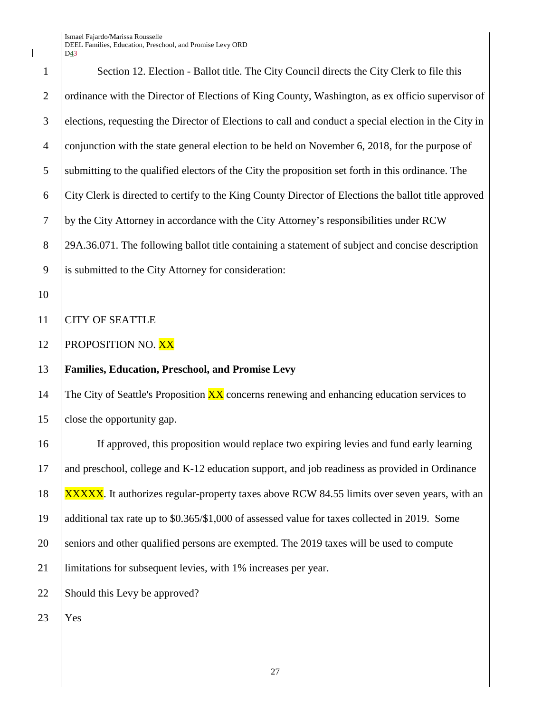1 Section 12. Election - Ballot title. The City Council directs the City Clerk to file this 2 | ordinance with the Director of Elections of King County, Washington, as ex officio supervisor of 3 elections, requesting the Director of Elections to call and conduct a special election in the City in 4 conjunction with the state general election to be held on November 6, 2018, for the purpose of 5 submitting to the qualified electors of the City the proposition set forth in this ordinance. The 6 City Clerk is directed to certify to the King County Director of Elections the ballot title approved 10 11 CITY OF SEATTLE  $23$  | Yes

 by the City Attorney in accordance with the City Attorney's responsibilities under RCW 8 29A.36.071. The following ballot title containing a statement of subject and concise description is submitted to the City Attorney for consideration: **PROPOSITION NO. XX Families, Education, Preschool, and Promise Levy**

14 The City of Seattle's Proposition  $\overline{XX}$  concerns renewing and enhancing education services to 15 close the opportunity gap.

 If approved, this proposition would replace two expiring levies and fund early learning and preschool, college and K-12 education support, and job readiness as provided in Ordinance 18 XXXXX. It authorizes regular-property taxes above RCW 84.55 limits over seven years, with an additional tax rate up to \$0.365/\$1,000 of assessed value for taxes collected in 2019. Some 20 seniors and other qualified persons are exempted. The 2019 taxes will be used to compute limitations for subsequent levies, with 1% increases per year. Should this Levy be approved?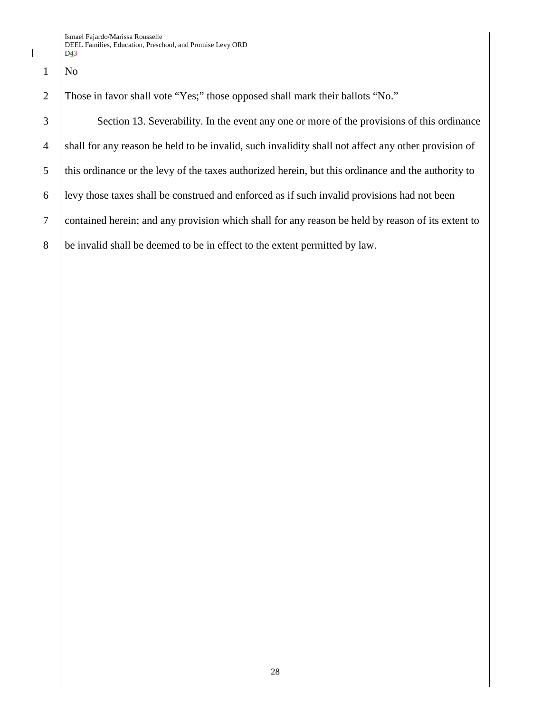$1$  No

2 Those in favor shall vote "Yes;" those opposed shall mark their ballots "No."

3 Section 13. Severability. In the event any one or more of the provisions of this ordinance shall for any reason be held to be invalid, such invalidity shall not affect any other provision of 5 this ordinance or the levy of the taxes authorized herein, but this ordinance and the authority to levy those taxes shall be construed and enforced as if such invalid provisions had not been contained herein; and any provision which shall for any reason be held by reason of its extent to be invalid shall be deemed to be in effect to the extent permitted by law.